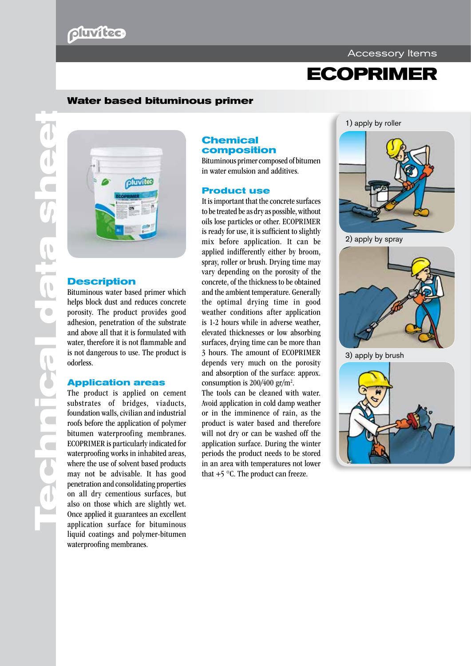# pluvitee

#### Accessory Items

# **ECOPRIMER**

### **Water based bituminous primer**



### **Description**

Bituminous water based primer which helps block dust and reduces concrete porosity. The product provides good adhesion, penetration of the substrate and above all that it is formulated with water, therefore it is not flammable and is not dangerous to use. The product is odorless.

#### **Application areas**

The product is applied on cement substrates of bridges, viaducts, foundation walls, civilian and industrial roofs before the application of polymer bitumen waterproofing membranes. ECOPRIMER is particularly indicated for waterproofing works in inhabited areas, where the use of solvent based products may not be advisable. It has good penetration and consolidating properties on all dry cementious surfaces, but also on those which are slightly wet. Once applied it guarantees an excellent application surface for bituminous liquid coatings and polymer-bitumen waterproofing membranes.

#### **Chemical composition**

Bituminous primer composed of bitumen in water emulsion and additives.

#### **Product use**

It is important that the concrete surfaces to be treated be as dry as possible, without oils lose particles or other. ECOPRIMER is ready for use, it is sufficient to slightly mix before application. It can be applied indifferently either by broom, spray, roller or brush. Drying time may vary depending on the porosity of the concrete, of the thickness to be obtained and the ambient temperature. Generally the optimal drying time in good weather conditions after application is 1-2 hours while in adverse weather, elevated thicknesses or low absorbing surfaces, drying time can be more than 3 hours. The amount of ECOPRIMER depends very much on the porosity and absorption of the surface: approx. consumption is  $200/400$  gr/m<sup>2</sup>.

The tools can be cleaned with water. Avoid application in cold damp weather or in the imminence of rain, as the product is water based and therefore will not dry or can be washed off the application surface. During the winter periods the product needs to be stored in an area with temperatures not lower that  $+5$  °C. The product can freeze.

1) apply by roller



2) apply by spray



3) apply by brush